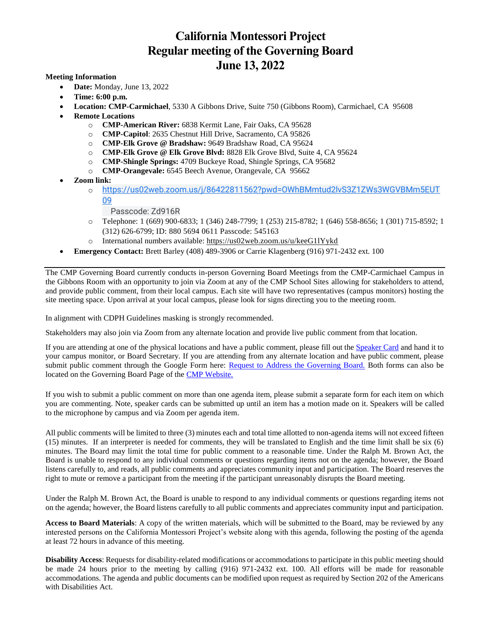# **California Montessori Project Regular meeting of the Governing Board June 13, 2022**

#### **Meeting Information**

- **Date:** Monday, June 13, 2022
- **Time: 6:00 p.m.**
- **Location: CMP-Carmichael**, 5330 A Gibbons Drive, Suite 750 (Gibbons Room), Carmichael, CA 95608
- **Remote Locations**
	- o **CMP-American River:** 6838 Kermit Lane, Fair Oaks, CA 95628
	- o **CMP-Capitol**: 2635 Chestnut Hill Drive, Sacramento, CA 95826
	- o **CMP-Elk Grove @ Bradshaw:** 9649 Bradshaw Road, CA 95624
	- o **CMP-Elk Grove @ Elk Grove Blvd:** 8828 Elk Grove Blvd, Suite 4, CA 95624
	- o **CMP-Shingle Springs:** 4709 Buckeye Road, Shingle Springs, CA 95682
	- o **CMP-Orangevale:** 6545 Beech Avenue, Orangevale, CA 95662
- **Zoom link:** 
	- o [https://us02web.zoom.us/j/86422811562?pwd=OWhBMmtud2lvS3Z1ZWs3WGVBMm5EUT](https://www.google.com/url?q=https://us02web.zoom.us/j/86422811562?pwd%3DOWhBMmtud2lvS3Z1ZWs3WGVBMm5EUT09&sa=D&source=calendar&ust=1655602288093104&usg=AOvVaw2p34o42xNYXFM4AoPKDO4P) [09](https://www.google.com/url?q=https://us02web.zoom.us/j/86422811562?pwd%3DOWhBMmtud2lvS3Z1ZWs3WGVBMm5EUT09&sa=D&source=calendar&ust=1655602288093104&usg=AOvVaw2p34o42xNYXFM4AoPKDO4P)
		- Passcode: Zd916R
	- o Telephone: 1 (669) 900-6833; 1 (346) 248-7799; 1 (253) 215-8782; 1 (646) 558-8656; 1 (301) 715-8592; 1 (312) 626-6799; ID: 880 5694 0611 Passcode: 545163
	- o International numbers available: [https://us02web.zoom.us/u/keeG1lYykd](https://www.google.com/url?q=https://us02web.zoom.us/u/keeG1lYykd&sa=D&source=calendar&ust=1649086742201602&usg=AOvVaw1GFfRQULWTT1Hif858gYQX)
- **Emergency Contact:** Brett Barley (408) 489-3906 or Carrie Klagenberg (916) 971-2432 ext. 100

The CMP Governing Board currently conducts in-person Governing Board Meetings from the CMP-Carmichael Campus in the Gibbons Room with an opportunity to join via Zoom at any of the CMP School Sites allowing for stakeholders to attend, and provide public comment, from their local campus. Each site will have two representatives (campus monitors) hosting the site meeting space. Upon arrival at your local campus, please look for signs directing you to the meeting room.

In alignment with CDPH Guidelines masking is strongly recommended.

Stakeholders may also join via Zoom from any alternate location and provide live public comment from that location.

If you are attending at one of the physical locations and have a public comment, please fill out th[e Speaker Card](http://www.cacmp.org/userfiles/14/my%20files/board%20meetings/public%20comment/1.%20public%20comment%20card%209.2021%20fillable%20pdf.pdf?id=14912) and hand it to your campus monitor, or Board Secretary. If you are attending from any alternate location and have public comment, please submit public comment through the Google Form here: [Request to Address the Governing Board.](https://docs.google.com/forms/d/e/1FAIpQLSfK-2ZXNoqjxXlXrOsrWfbgJ8ILa1Zs8eatAGH5v2ft4_fJJQ/viewform?usp=sf_link) Both forms can also be located on the Governing Board Page of the [CMP Website.](http://www.cacmp.org/board)

If you wish to submit a public comment on more than one agenda item, please submit a separate form for each item on which you are commenting. Note, speaker cards can be submitted up until an item has a motion made on it. Speakers will be called to the microphone by campus and via Zoom per agenda item.

All public comments will be limited to three (3) minutes each and total time allotted to non-agenda items will not exceed fifteen (15) minutes. If an interpreter is needed for comments, they will be translated to English and the time limit shall be six (6) minutes. The Board may limit the total time for public comment to a reasonable time. Under the Ralph M. Brown Act, the Board is unable to respond to any individual comments or questions regarding items not on the agenda; however, the Board listens carefully to, and reads, all public comments and appreciates community input and participation. The Board reserves the right to mute or remove a participant from the meeting if the participant unreasonably disrupts the Board meeting.

Under the Ralph M. Brown Act, the Board is unable to respond to any individual comments or questions regarding items not on the agenda; however, the Board listens carefully to all public comments and appreciates community input and participation.

**Access to Board Materials**: A copy of the written materials, which will be submitted to the Board, may be reviewed by any interested persons on the California Montessori Project's website along with this agenda, following the posting of the agenda at least 72 hours in advance of this meeting.

**Disability Access**: Requests for disability-related modifications or accommodations to participate in this public meeting should be made 24 hours prior to the meeting by calling (916) 971-2432 ext. 100. All efforts will be made for reasonable accommodations. The agenda and public documents can be modified upon request as required by Section 202 of the Americans with Disabilities Act.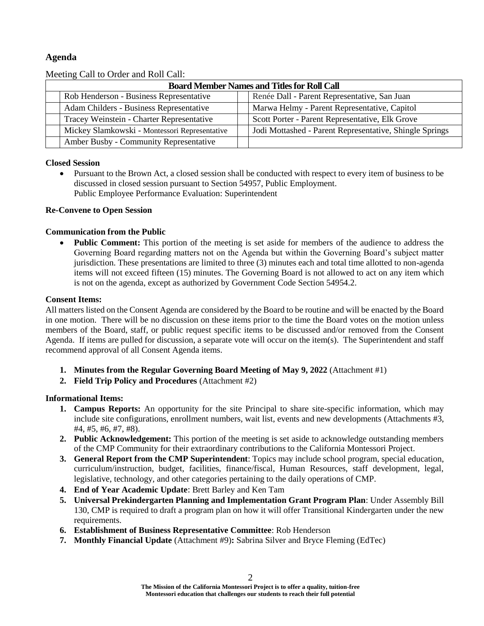# **Agenda**

| Meeting Call to Order and Non Can.                 |                                               |  |                                                         |
|----------------------------------------------------|-----------------------------------------------|--|---------------------------------------------------------|
| <b>Board Member Names and Titles for Roll Call</b> |                                               |  |                                                         |
|                                                    | Rob Henderson - Business Representative       |  | Renée Dall - Parent Representative, San Juan            |
|                                                    | Adam Childers - Business Representative       |  | Marwa Helmy - Parent Representative, Capitol            |
|                                                    | Tracey Weinstein - Charter Representative     |  | Scott Porter - Parent Representative, Elk Grove         |
|                                                    | Mickey Slamkowski - Montessori Representative |  | Jodi Mottashed - Parent Representative, Shingle Springs |
|                                                    | Amber Busby - Community Representative        |  |                                                         |

Meeting Call to Order and Roll Call.

#### **Closed Session**

 Pursuant to the Brown Act, a closed session shall be conducted with respect to every item of business to be discussed in closed session pursuant to Section 54957, Public Employment. Public Employee Performance Evaluation: Superintendent

#### **Re-Convene to Open Session**

#### **Communication from the Public**

 **Public Comment:** This portion of the meeting is set aside for members of the audience to address the Governing Board regarding matters not on the Agenda but within the Governing Board's subject matter jurisdiction. These presentations are limited to three (3) minutes each and total time allotted to non-agenda items will not exceed fifteen (15) minutes. The Governing Board is not allowed to act on any item which is not on the agenda, except as authorized by Government Code Section 54954.2.

#### **Consent Items:**

All matters listed on the Consent Agenda are considered by the Board to be routine and will be enacted by the Board in one motion. There will be no discussion on these items prior to the time the Board votes on the motion unless members of the Board, staff, or public request specific items to be discussed and/or removed from the Consent Agenda. If items are pulled for discussion, a separate vote will occur on the item(s). The Superintendent and staff recommend approval of all Consent Agenda items.

- **1. Minutes from the Regular Governing Board Meeting of May 9, 2022** (Attachment #1)
- **2. Field Trip Policy and Procedures** (Attachment #2)

## **Informational Items:**

- **1. Campus Reports:** An opportunity for the site Principal to share site-specific information, which may include site configurations, enrollment numbers, wait list, events and new developments (Attachments #3, #4, #5, #6, #7, #8).
- **2. Public Acknowledgement:** This portion of the meeting is set aside to acknowledge outstanding members of the CMP Community for their extraordinary contributions to the California Montessori Project.
- **3. General Report from the CMP Superintendent**: Topics may include school program, special education, curriculum/instruction, budget, facilities, finance/fiscal, Human Resources, staff development, legal, legislative, technology, and other categories pertaining to the daily operations of CMP.
- **4. End of Year Academic Update**: Brett Barley and Ken Tam
- **5. Universal Prekindergarten Planning and Implementation Grant Program Plan**: Under Assembly Bill 130, CMP is required to draft a program plan on how it will offer Transitional Kindergarten under the new requirements.
- **6. Establishment of Business Representative Committee**: Rob Henderson
- **7. Monthly Financial Update** (Attachment #9)**:** Sabrina Silver and Bryce Fleming (EdTec)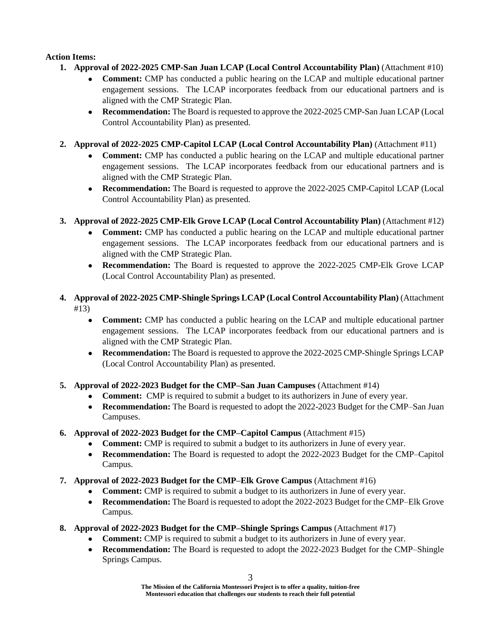## **Action Items:**

- **1. Approval of 2022-2025 CMP-San Juan LCAP (Local Control Accountability Plan)** (Attachment #10)
	- **Comment:** CMP has conducted a public hearing on the LCAP and multiple educational partner engagement sessions. The LCAP incorporates feedback from our educational partners and is aligned with the CMP Strategic Plan.
	- **Recommendation:** The Board is requested to approve the 2022-2025 CMP-San Juan LCAP (Local Control Accountability Plan) as presented.
- **2. Approval of 2022-2025 CMP-Capitol LCAP (Local Control Accountability Plan)** (Attachment #11)
	- **Comment:** CMP has conducted a public hearing on the LCAP and multiple educational partner engagement sessions. The LCAP incorporates feedback from our educational partners and is aligned with the CMP Strategic Plan.
	- **Recommendation:** The Board is requested to approve the 2022-2025 CMP-Capitol LCAP (Local Control Accountability Plan) as presented.
- **3. Approval of 2022-2025 CMP-Elk Grove LCAP (Local Control Accountability Plan)** (Attachment #12)
	- **Comment:** CMP has conducted a public hearing on the LCAP and multiple educational partner engagement sessions. The LCAP incorporates feedback from our educational partners and is aligned with the CMP Strategic Plan.
	- **Recommendation:** The Board is requested to approve the 2022-2025 CMP-Elk Grove LCAP (Local Control Accountability Plan) as presented.
- **4. Approval of 2022-2025 CMP-Shingle Springs LCAP (Local Control Accountability Plan)** (Attachment #13)
	- **Comment:** CMP has conducted a public hearing on the LCAP and multiple educational partner engagement sessions. The LCAP incorporates feedback from our educational partners and is aligned with the CMP Strategic Plan.
	- **Recommendation:** The Board is requested to approve the 2022-2025 CMP-Shingle Springs LCAP (Local Control Accountability Plan) as presented.
- **5. Approval of 2022-2023 Budget for the CMP–San Juan Campuses** (Attachment #14)
	- **Comment:** CMP is required to submit a budget to its authorizers in June of every year.
	- **Recommendation:** The Board is requested to adopt the 2022-2023 Budget for the CMP–San Juan Campuses.
- **6. Approval of 2022-2023 Budget for the CMP–Capitol Campus** (Attachment #15)
	- **Comment:** CMP is required to submit a budget to its authorizers in June of every year.
	- **Recommendation:** The Board is requested to adopt the 2022-2023 Budget for the CMP–Capitol Campus.
- **7. Approval of 2022-2023 Budget for the CMP–Elk Grove Campus** (Attachment #16)
	- **Comment:** CMP is required to submit a budget to its authorizers in June of every year.
	- **Recommendation:** The Board is requested to adopt the 2022-2023 Budget for the CMP–Elk Grove Campus.
- **8. Approval of 2022-2023 Budget for the CMP–Shingle Springs Campus** (Attachment #17)
	- **Comment:** CMP is required to submit a budget to its authorizers in June of every year.
	- **Recommendation:** The Board is requested to adopt the 2022-2023 Budget for the CMP–Shingle Springs Campus.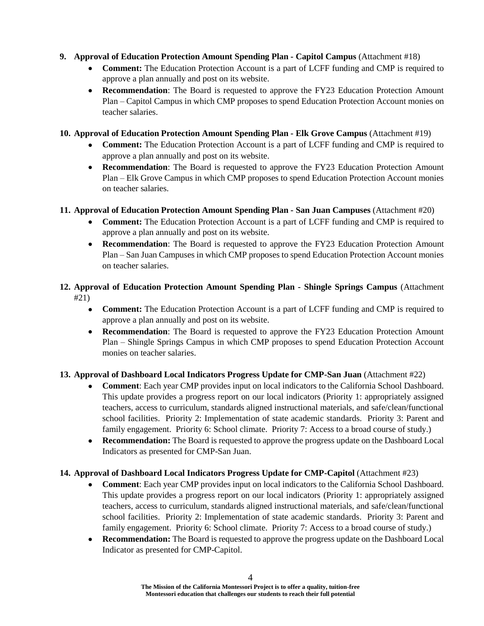## **9. Approval of Education Protection Amount Spending Plan - Capitol Campus** (Attachment #18)

- **Comment:** The Education Protection Account is a part of LCFF funding and CMP is required to approve a plan annually and post on its website.
- **Recommendation**: The Board is requested to approve the FY23 Education Protection Amount Plan – Capitol Campus in which CMP proposes to spend Education Protection Account monies on teacher salaries.

## **10. Approval of Education Protection Amount Spending Plan - Elk Grove Campus** (Attachment #19)

- **Comment:** The Education Protection Account is a part of LCFF funding and CMP is required to approve a plan annually and post on its website.
- **Recommendation**: The Board is requested to approve the FY23 Education Protection Amount Plan – Elk Grove Campus in which CMP proposes to spend Education Protection Account monies on teacher salaries.

## **11. Approval of Education Protection Amount Spending Plan - San Juan Campuses** (Attachment #20)

- **Comment:** The Education Protection Account is a part of LCFF funding and CMP is required to approve a plan annually and post on its website.
- **Recommendation**: The Board is requested to approve the FY23 Education Protection Amount Plan – San Juan Campuses in which CMP proposes to spend Education Protection Account monies on teacher salaries.

## **12. Approval of Education Protection Amount Spending Plan - Shingle Springs Campus** (Attachment #21)

- **Comment:** The Education Protection Account is a part of LCFF funding and CMP is required to approve a plan annually and post on its website.
- **Recommendation**: The Board is requested to approve the FY23 Education Protection Amount Plan – Shingle Springs Campus in which CMP proposes to spend Education Protection Account monies on teacher salaries.

# **13. Approval of Dashboard Local Indicators Progress Update for CMP-San Juan** (Attachment #22)

- **Comment**: Each year CMP provides input on local indicators to the California School Dashboard. This update provides a progress report on our local indicators (Priority 1: appropriately assigned teachers, access to curriculum, standards aligned instructional materials, and safe/clean/functional school facilities. Priority 2: Implementation of state academic standards. Priority 3: Parent and family engagement. Priority 6: School climate. Priority 7: Access to a broad course of study.)
- **Recommendation:** The Board is requested to approve the progress update on the Dashboard Local Indicators as presented for CMP-San Juan.

## **14. Approval of Dashboard Local Indicators Progress Update for CMP-Capitol** (Attachment #23)

- **Comment**: Each year CMP provides input on local indicators to the California School Dashboard. This update provides a progress report on our local indicators (Priority 1: appropriately assigned teachers, access to curriculum, standards aligned instructional materials, and safe/clean/functional school facilities. Priority 2: Implementation of state academic standards. Priority 3: Parent and family engagement. Priority 6: School climate. Priority 7: Access to a broad course of study.)
- **Recommendation:** The Board is requested to approve the progress update on the Dashboard Local Indicator as presented for CMP-Capitol.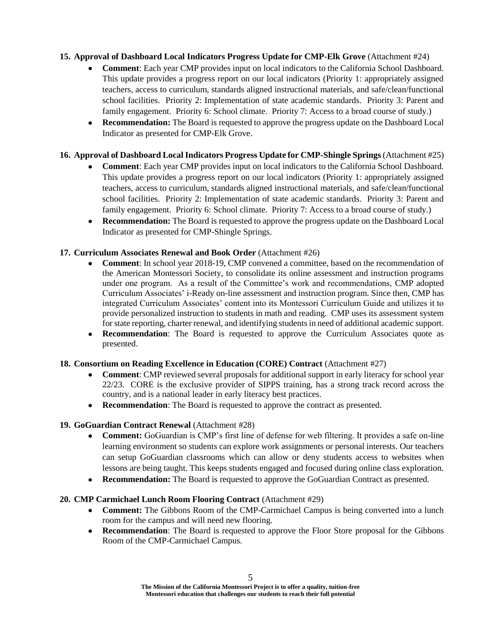## **15. Approval of Dashboard Local Indicators Progress Update for CMP-Elk Grove** (Attachment #24)

- **Comment**: Each year CMP provides input on local indicators to the California School Dashboard. This update provides a progress report on our local indicators (Priority 1: appropriately assigned teachers, access to curriculum, standards aligned instructional materials, and safe/clean/functional school facilities. Priority 2: Implementation of state academic standards. Priority 3: Parent and family engagement. Priority 6: School climate. Priority 7: Access to a broad course of study.)
- **Recommendation:** The Board is requested to approve the progress update on the Dashboard Local Indicator as presented for CMP-Elk Grove.

## **16. Approval of Dashboard Local Indicators Progress Update for CMP-Shingle Springs** (Attachment #25)

- **Comment**: Each year CMP provides input on local indicators to the California School Dashboard. This update provides a progress report on our local indicators (Priority 1: appropriately assigned teachers, access to curriculum, standards aligned instructional materials, and safe/clean/functional school facilities. Priority 2: Implementation of state academic standards. Priority 3: Parent and family engagement. Priority 6: School climate. Priority 7: Access to a broad course of study.)
- **Recommendation:** The Board is requested to approve the progress update on the Dashboard Local Indicator as presented for CMP-Shingle Springs.

## **17. Curriculum Associates Renewal and Book Order** (Attachment #26)

- **Comment**: In school year 2018-19, CMP convened a committee, based on the recommendation of the American Montessori Society, to consolidate its online assessment and instruction programs under one program. As a result of the Committee's work and recommendations, CMP adopted Curriculum Associates' i-Ready on-line assessment and instruction program. Since then, CMP has integrated Curriculum Associates' content into its Montessori Curriculum Guide and utilizes it to provide personalized instruction to students in math and reading. CMP uses its assessment system for state reporting, charter renewal, and identifying students in need of additional academic support.
- **Recommendation**: The Board is requested to approve the Curriculum Associates quote as presented.

## **18. Consortium on Reading Excellence in Education (CORE) Contract** (Attachment #27)

- **Comment**: CMP reviewed several proposals for additional support in early literacy for school year 22/23. CORE is the exclusive provider of SIPPS training, has a strong track record across the country, and is a national leader in early literacy best practices.
- **Recommendation**: The Board is requested to approve the contract as presented.

## **19. GoGuardian Contract Renewal** (Attachment #28)

- **Comment:** GoGuardian is CMP's first line of defense for web filtering. It provides a safe on-line learning environment so students can explore work assignments or personal interests. Our teachers can setup GoGuardian classrooms which can allow or deny students access to websites when lessons are being taught. This keeps students engaged and focused during online class exploration.
- **Recommendation:** The Board is requested to approve the GoGuardian Contract as presented.

#### **20. CMP Carmichael Lunch Room Flooring Contract** (Attachment #29)

- **Comment:** The Gibbons Room of the CMP-Carmichael Campus is being converted into a lunch room for the campus and will need new flooring.
- **Recommendation**: The Board is requested to approve the Floor Store proposal for the Gibbons Room of the CMP-Carmichael Campus.